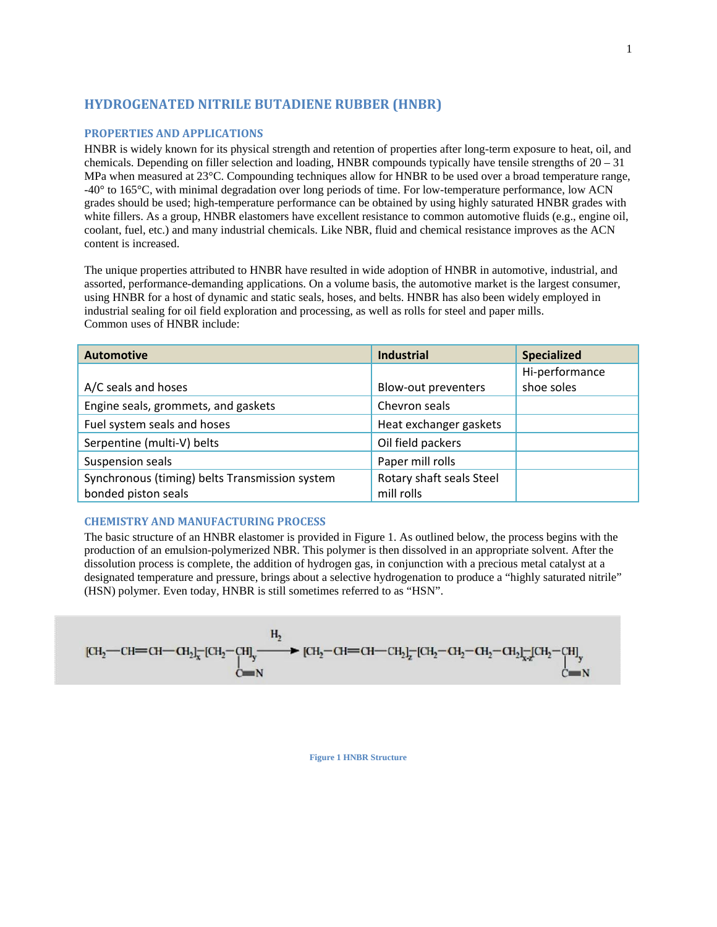# **HYDROGENATED NITRILE BUTADIENE RUBBER (HNBR)**

### **PROPERTIES AND APPLICATIONS**

HNBR is widely known for its physical strength and retention of properties after long-term exposure to heat, oil, and chemicals. Depending on filler selection and loading, HNBR compounds typically have tensile strengths of  $20 - 31$ MPa when measured at  $23^{\circ}$ C. Compounding techniques allow for HNBR to be used over a broad temperature range, -40° to 165°C, with minimal degradation over long periods of time. For low-temperature performance, low ACN grades should be used; high-temperature performance can be obtained by using highly saturated HNBR grades with white fillers. As a group, HNBR elastomers have excellent resistance to common automotive fluids (e.g., engine oil, coolant, fuel, etc.) and many industrial chemicals. Like NBR, fluid and chemical resistance improves as the ACN content is increased.

The unique properties attributed to HNBR have resulted in wide adoption of HNBR in automotive, industrial, and assorted, performance-demanding applications. On a volume basis, the automotive market is the largest consumer, using HNBR for a host of dynamic and static seals, hoses, and belts. HNBR has also been widely employed in industrial sealing for oil field exploration and processing, as well as rolls for steel and paper mills. Common uses of HNBR include:

| <b>Automotive</b>                              | <b>Industrial</b>        | <b>Specialized</b> |
|------------------------------------------------|--------------------------|--------------------|
|                                                |                          | Hi-performance     |
| A/C seals and hoses                            | Blow-out preventers      | shoe soles         |
| Engine seals, grommets, and gaskets            | Chevron seals            |                    |
| Fuel system seals and hoses                    | Heat exchanger gaskets   |                    |
| Serpentine (multi-V) belts                     | Oil field packers        |                    |
| Suspension seals                               | Paper mill rolls         |                    |
| Synchronous (timing) belts Transmission system | Rotary shaft seals Steel |                    |
| bonded piston seals                            | mill rolls               |                    |

## **CHEMISTRY AND MANUFACTURING PROCESS**

The basic structure of an HNBR elastomer is provided in Figure 1. As outlined below, the process begins with the production of an emulsion-polymerized NBR. This polymer is then dissolved in an appropriate solvent. After the dissolution process is complete, the addition of hydrogen gas, in conjunction with a precious metal catalyst at a designated temperature and pressure, brings about a selective hydrogenation to produce a "highly saturated nitrile" (HSN) polymer. Even today, HNBR is still sometimes referred to as "HSN".

$$
[CH_{2}-CH=CH-CH_{2}]_{x}^{-}[CH_{2}-CH]_{y} \longrightarrow [CH_{2}-CH=CH-CH_{2}]_{z}^{-}[CH_{2}-CH_{2}-CH_{2}]_{xz}^{-}[CH_{2}-CH]_{y}
$$
  
 
$$
C=N
$$

**Figure 1 HNBR Structure**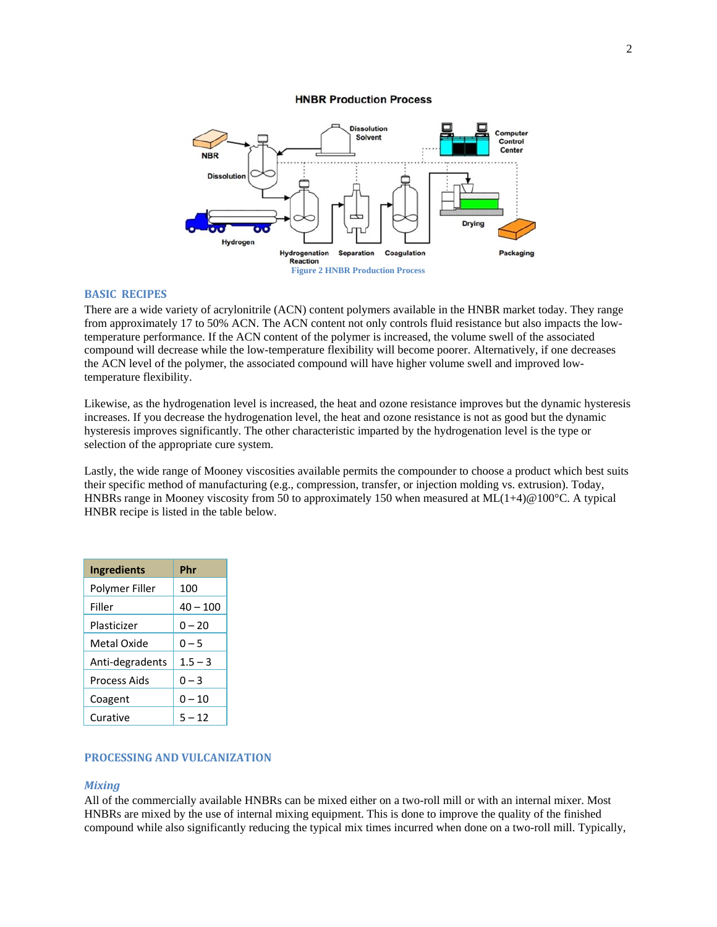#### **HNBR Production Process**



## **BASIC** RECIPES

There are a wide variety of acrylonitrile (ACN) content polymers available in the HNBR market today. They range from approximately 17 to 50% ACN. The ACN content not only controls fluid resistance but also impacts the lowtemperature performance. If the ACN content of the polymer is increased, the volume swell of the associated compound will decrease while the low-temperature flexibility will become poorer. Alternatively, if one decreases the ACN level of the polymer, the associated compound will have higher volume swell and improved lowtemperature flexibility.

Likewise, as the hydrogenation level is increased, the heat and ozone resistance improves but the dynamic hysteresis increases. If you decrease the hydrogenation level, the heat and ozone resistance is not as good but the dynamic hysteresis improves significantly. The other characteristic imparted by the hydrogenation level is the type or selection of the appropriate cure system.

Lastly, the wide range of Mooney viscosities available permits the compounder to choose a product which best suits their specific method of manufacturing (e.g., compression, transfer, or injection molding vs. extrusion). Today, HNBRs range in Mooney viscosity from 50 to approximately 150 when measured at  $ML(1+4)$  @100°C. A typical HNBR recipe is listed in the table below.

| <b>Ingredients</b> | Phr        |  |
|--------------------|------------|--|
| Polymer Filler     | 100        |  |
| Filler             | $40 - 100$ |  |
| Plasticizer        | $0 - 20$   |  |
| Metal Oxide        | $0 - 5$    |  |
| Anti-degradents    | $1.5 - 3$  |  |
| Process Aids       | $0 - 3$    |  |
| Coagent            | $0 - 10$   |  |
| Curative           | $5 - 12$   |  |

### **PROCESSING AND VULCANIZATION**

#### *Mixing*

All of the commercially available HNBRs can be mixed either on a two-roll mill or with an internal mixer. Most HNBRs are mixed by the use of internal mixing equipment. This is done to improve the quality of the finished compound while also significantly reducing the typical mix times incurred when done on a two-roll mill. Typically,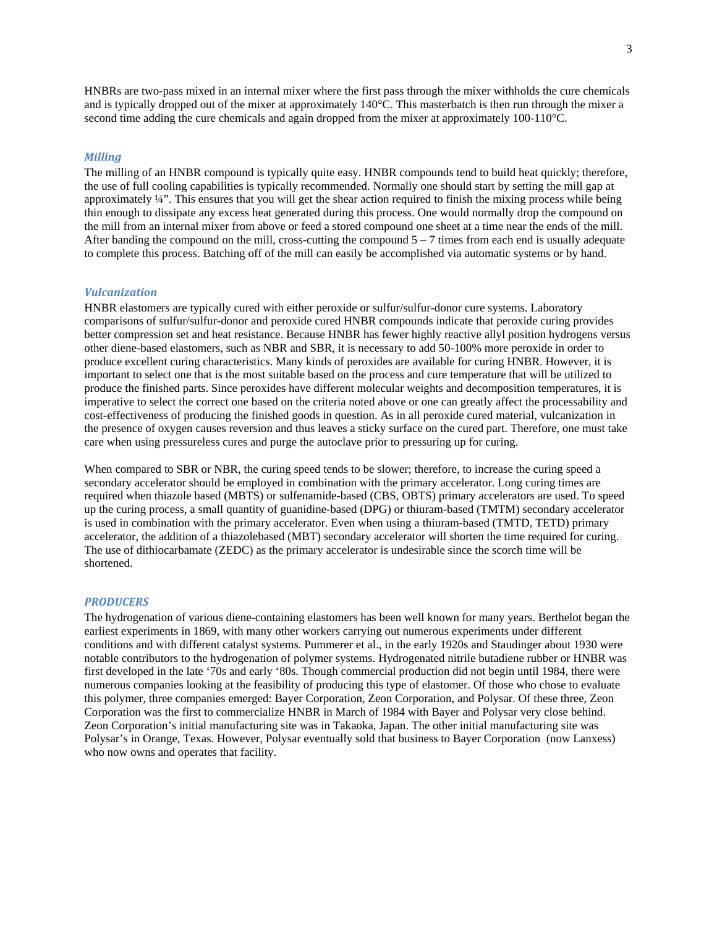HNBRs are two-pass mixed in an internal mixer where the first pass through the mixer withholds the cure chemicals and is typically dropped out of the mixer at approximately 140°C. This masterbatch is then run through the mixer a second time adding the cure chemicals and again dropped from the mixer at approximately 100-110°C.

#### *Milling*

The milling of an HNBR compound is typically quite easy. HNBR compounds tend to build heat quickly; therefore, the use of full cooling capabilities is typically recommended. Normally one should start by setting the mill gap at approximately ¼". This ensures that you will get the shear action required to finish the mixing process while being thin enough to dissipate any excess heat generated during this process. One would normally drop the compound on the mill from an internal mixer from above or feed a stored compound one sheet at a time near the ends of the mill. After banding the compound on the mill, cross-cutting the compound  $5 - 7$  times from each end is usually adequate to complete this process. Batching off of the mill can easily be accomplished via automatic systems or by hand.

### *Vulcanization*

HNBR elastomers are typically cured with either peroxide or sulfur/sulfur-donor cure systems. Laboratory comparisons of sulfur/sulfur-donor and peroxide cured HNBR compounds indicate that peroxide curing provides better compression set and heat resistance. Because HNBR has fewer highly reactive allyl position hydrogens versus other diene-based elastomers, such as NBR and SBR, it is necessary to add 50-100% more peroxide in order to produce excellent curing characteristics. Many kinds of peroxides are available for curing HNBR. However, it is important to select one that is the most suitable based on the process and cure temperature that will be utilized to produce the finished parts. Since peroxides have different molecular weights and decomposition temperatures, it is imperative to select the correct one based on the criteria noted above or one can greatly affect the processability and cost-effectiveness of producing the finished goods in question. As in all peroxide cured material, vulcanization in the presence of oxygen causes reversion and thus leaves a sticky surface on the cured part. Therefore, one must take care when using pressureless cures and purge the autoclave prior to pressuring up for curing.

When compared to SBR or NBR, the curing speed tends to be slower; therefore, to increase the curing speed a secondary accelerator should be employed in combination with the primary accelerator. Long curing times are required when thiazole based (MBTS) or sulfenamide-based (CBS, OBTS) primary accelerators are used. To speed up the curing process, a small quantity of guanidine-based (DPG) or thiuram-based (TMTM) secondary accelerator is used in combination with the primary accelerator. Even when using a thiuram-based (TMTD, TETD) primary accelerator, the addition of a thiazolebased (MBT) secondary accelerator will shorten the time required for curing. The use of dithiocarbamate (ZEDC) as the primary accelerator is undesirable since the scorch time will be shortened.

#### *PRODUCERS*

The hydrogenation of various diene-containing elastomers has been well known for many years. Berthelot began the earliest experiments in 1869, with many other workers carrying out numerous experiments under different conditions and with different catalyst systems. Pummerer et al., in the early 1920s and Staudinger about 1930 were notable contributors to the hydrogenation of polymer systems. Hydrogenated nitrile butadiene rubber or HNBR was first developed in the late '70s and early '80s. Though commercial production did not begin until 1984, there were numerous companies looking at the feasibility of producing this type of elastomer. Of those who chose to evaluate this polymer, three companies emerged: Bayer Corporation, Zeon Corporation, and Polysar. Of these three, Zeon Corporation was the first to commercialize HNBR in March of 1984 with Bayer and Polysar very close behind. Zeon Corporation's initial manufacturing site was in Takaoka, Japan. The other initial manufacturing site was Polysar's in Orange, Texas. However, Polysar eventually sold that business to Bayer Corporation (now Lanxess) who now owns and operates that facility.